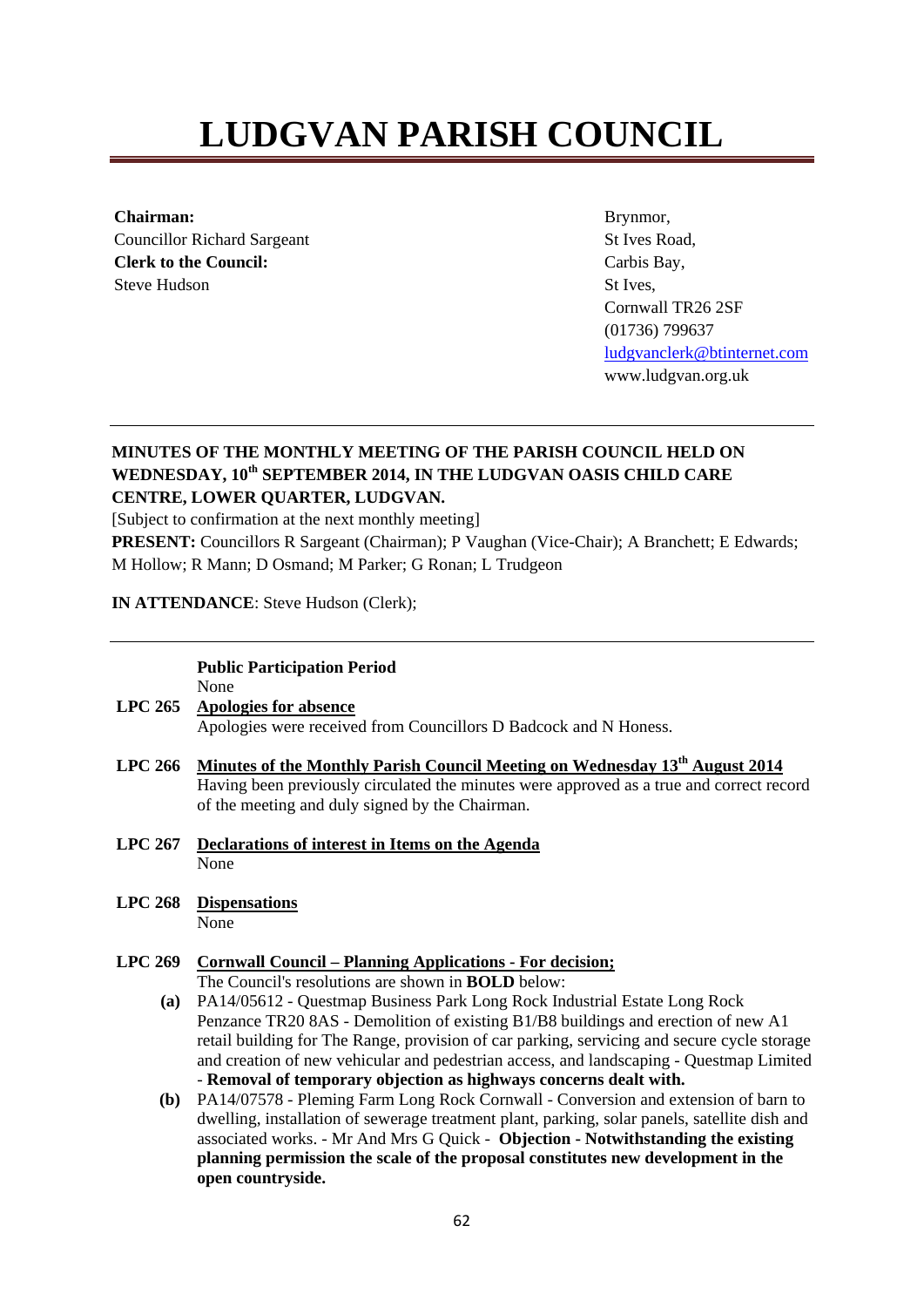# **LUDGVAN PARISH COUNCIL**

**Chairman:**  Councillor Richard Sargeant **Clerk to the Council:**  Steve Hudson

Brynmor, St Ives Road, Carbis Bay, St Ives, Cornwall TR26 2SF (01736) 799637 ludgvanclerk@btinternet.com www.ludgvan.org.uk

### **MINUTES OF THE MONTHLY MEETING OF THE PARISH COUNCIL HELD ON WEDNESDAY, 10th SEPTEMBER 2014, IN THE LUDGVAN OASIS CHILD CARE CENTRE, LOWER QUARTER, LUDGVAN.**

[Subject to confirmation at the next monthly meeting]

**PRESENT:** Councillors R Sargeant (Chairman); P Vaughan (Vice-Chair); A Branchett; E Edwards; M Hollow; R Mann; D Osmand; M Parker; G Ronan; L Trudgeon

**IN ATTENDANCE**: Steve Hudson (Clerk);

#### **Public Participation Period**  None

- **LPC 265 Apologies for absence** Apologies were received from Councillors D Badcock and N Honess.
- LPC 266 Minutes of the Monthly Parish Council Meeting on Wednesday 13<sup>th</sup> August 2014 Having been previously circulated the minutes were approved as a true and correct record of the meeting and duly signed by the Chairman.
- **LPC 267 Declarations of interest in Items on the Agenda** None
- **LPC 268 Dispensations**

None

#### **LPC 269 Cornwall Council – Planning Applications - For decision;**

The Council's resolutions are shown in **BOLD** below:

- **(a)** PA14/05612 Questmap Business Park Long Rock Industrial Estate Long Rock Penzance TR20 8AS - Demolition of existing B1/B8 buildings and erection of new A1 retail building for The Range, provision of car parking, servicing and secure cycle storage and creation of new vehicular and pedestrian access, and landscaping - Questmap Limited - **Removal of temporary objection as highways concerns dealt with.**
- **(b)** PA14/07578 Pleming Farm Long Rock Cornwall Conversion and extension of barn to dwelling, installation of sewerage treatment plant, parking, solar panels, satellite dish and associated works. - Mr And Mrs G Quick - **Objection - Notwithstanding the existing planning permission the scale of the proposal constitutes new development in the open countryside.**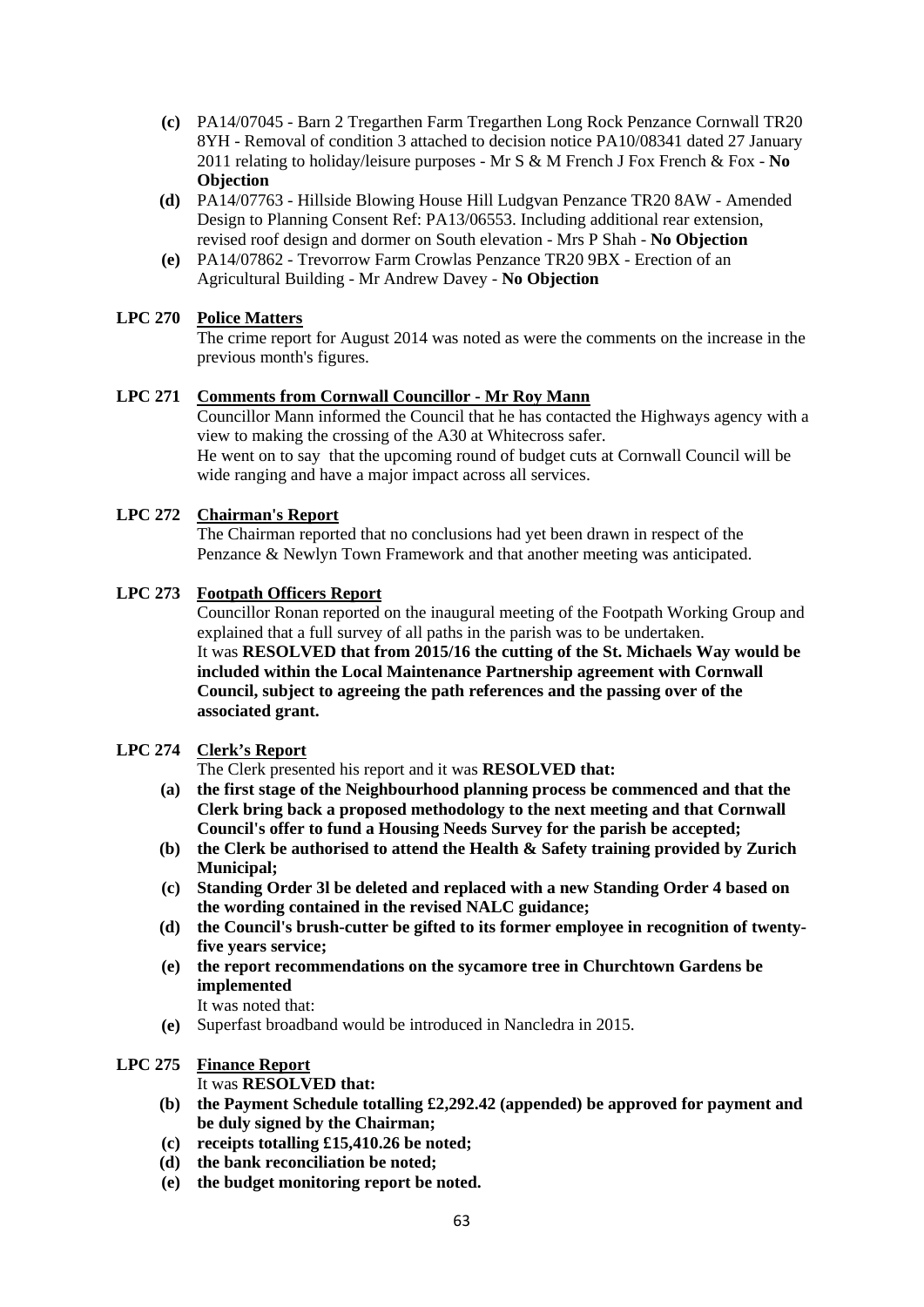- **(c)** PA14/07045 Barn 2 Tregarthen Farm Tregarthen Long Rock Penzance Cornwall TR20 8YH - Removal of condition 3 attached to decision notice PA10/08341 dated 27 January 2011 relating to holiday/leisure purposes - Mr S & M French J Fox French & Fox - **No Objection**
- **(d)** PA14/07763 Hillside Blowing House Hill Ludgvan Penzance TR20 8AW Amended Design to Planning Consent Ref: PA13/06553. Including additional rear extension, revised roof design and dormer on South elevation - Mrs P Shah - **No Objection**
- **(e)** PA14/07862 Trevorrow Farm Crowlas Penzance TR20 9BX Erection of an Agricultural Building - Mr Andrew Davey - **No Objection**

#### **LPC 270 Police Matters**

The crime report for August 2014 was noted as were the comments on the increase in the previous month's figures.

#### **LPC 271 Comments from Cornwall Councillor - Mr Roy Mann**

Councillor Mann informed the Council that he has contacted the Highways agency with a view to making the crossing of the A30 at Whitecross safer. He went on to say that the upcoming round of budget cuts at Cornwall Council will be wide ranging and have a major impact across all services.

#### **LPC 272 Chairman's Report**

The Chairman reported that no conclusions had yet been drawn in respect of the Penzance & Newlyn Town Framework and that another meeting was anticipated.

#### **LPC 273 Footpath Officers Report**

Councillor Ronan reported on the inaugural meeting of the Footpath Working Group and explained that a full survey of all paths in the parish was to be undertaken. It was **RESOLVED that from 2015/16 the cutting of the St. Michaels Way would be included within the Local Maintenance Partnership agreement with Cornwall Council, subject to agreeing the path references and the passing over of the associated grant.** 

#### **LPC 274 Clerk's Report**

The Clerk presented his report and it was **RESOLVED that:**

- **(a) the first stage of the Neighbourhood planning process be commenced and that the Clerk bring back a proposed methodology to the next meeting and that Cornwall Council's offer to fund a Housing Needs Survey for the parish be accepted;**
- **(b) the Clerk be authorised to attend the Health & Safety training provided by Zurich Municipal;**
- **(c) Standing Order 3l be deleted and replaced with a new Standing Order 4 based on the wording contained in the revised NALC guidance;**
- **(d) the Council's brush-cutter be gifted to its former employee in recognition of twentyfive years service;**
- **(e) the report recommendations on the sycamore tree in Churchtown Gardens be implemented**

It was noted that:

**(e)** Superfast broadband would be introduced in Nancledra in 2015.

#### **LPC 275 Finance Report**

It was **RESOLVED that:**

- **(b) the Payment Schedule totalling £2,292.42 (appended) be approved for payment and be duly signed by the Chairman;**
- **(c) receipts totalling £15,410.26 be noted;**
- **(d) the bank reconciliation be noted;**
- **(e) the budget monitoring report be noted.**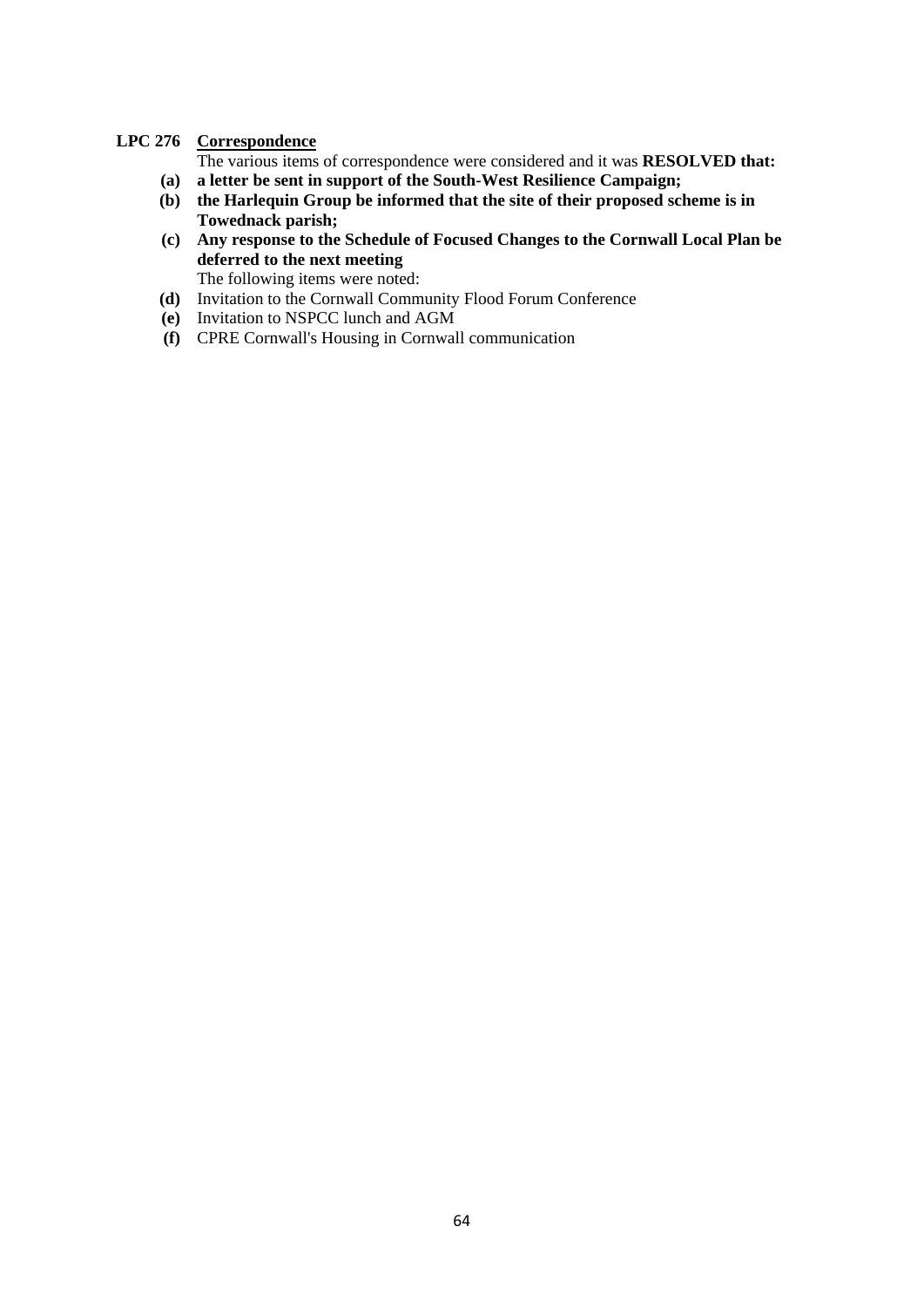#### **LPC 276 Correspondence**

The various items of correspondence were considered and it was **RESOLVED that: (a) a letter be sent in support of the South-West Resilience Campaign;** 

- **(b) the Harlequin Group be informed that the site of their proposed scheme is in Towednack parish;**
- **(c) Any response to the Schedule of Focused Changes to the Cornwall Local Plan be deferred to the next meeting**
- The following items were noted: **(d)** Invitation to the Cornwall Community Flood Forum Conference
- **(e)** Invitation to NSPCC lunch and AGM
- **(f)** CPRE Cornwall's Housing in Cornwall communication